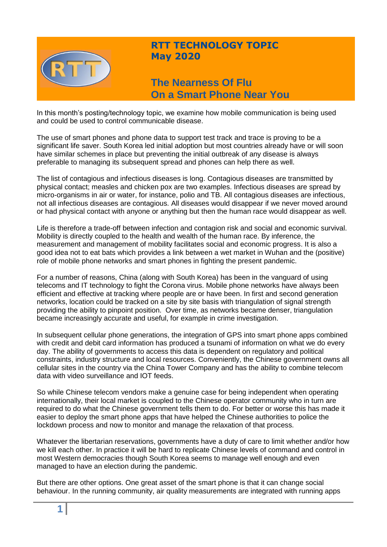

# **RTT TECHNOLOGY TOPIC May 2020**

**The Nearness Of Flu On a Smart Phone Near You**

In this month's posting/technology topic, we examine how mobile communication is being used and could be used to control communicable disease.

The use of smart phones and phone data to support test track and trace is proving to be a significant life saver. South Korea led initial adoption but most countries already have or will soon have similar schemes in place but preventing the initial outbreak of any disease is always preferable to managing its subsequent spread and phones can help there as well.

The list of contagious and infectious diseases is long. Contagious diseases are transmitted by physical contact; measles and chicken pox are two examples. Infectious diseases are spread by micro-organisms in air or water, for instance, polio and TB. All contagious diseases are infectious, not all infectious diseases are contagious. All diseases would disappear if we never moved around or had physical contact with anyone or anything but then the human race would disappear as well.

Life is therefore a trade-off between infection and contagion risk and social and economic survival. Mobility is directly coupled to the health and wealth of the human race. By inference, the measurement and management of mobility facilitates social and economic progress. It is also a good idea not to eat bats which provides a link between a wet market in Wuhan and the (positive) role of mobile phone networks and smart phones in fighting the present pandemic.

For a number of reasons, China (along with South Korea) has been in the vanguard of using telecoms and IT technology to fight the Corona virus. Mobile phone networks have always been efficient and effective at tracking where people are or have been. In first and second generation networks, location could be tracked on a site by site basis with triangulation of signal strength providing the ability to pinpoint position. Over time, as networks became denser, triangulation became increasingly accurate and useful, for example in crime investigation.

In subsequent cellular phone generations, the integration of GPS into smart phone apps combined with credit and debit card information has produced a tsunami of information on what we do every day. The ability of governments to access this data is dependent on regulatory and political constraints, industry structure and local resources. Conveniently, the Chinese government owns all cellular sites in the country via the China Tower Company and has the ability to combine telecom data with video surveillance and IOT feeds.

So while Chinese telecom vendors make a genuine case for being independent when operating internationally, their local market is coupled to the Chinese operator community who in turn are required to do what the Chinese government tells them to do. For better or worse this has made it easier to deploy the smart phone apps that have helped the Chinese authorities to police the lockdown process and now to monitor and manage the relaxation of that process.

Whatever the libertarian reservations, governments have a duty of care to limit whether and/or how we kill each other. In practice it will be hard to replicate Chinese levels of command and control in most Western democracies though South Korea seems to manage well enough and even managed to have an election during the pandemic.

But there are other options. One great asset of the smart phone is that it can change social behaviour. In the running community, air quality measurements are integrated with running apps